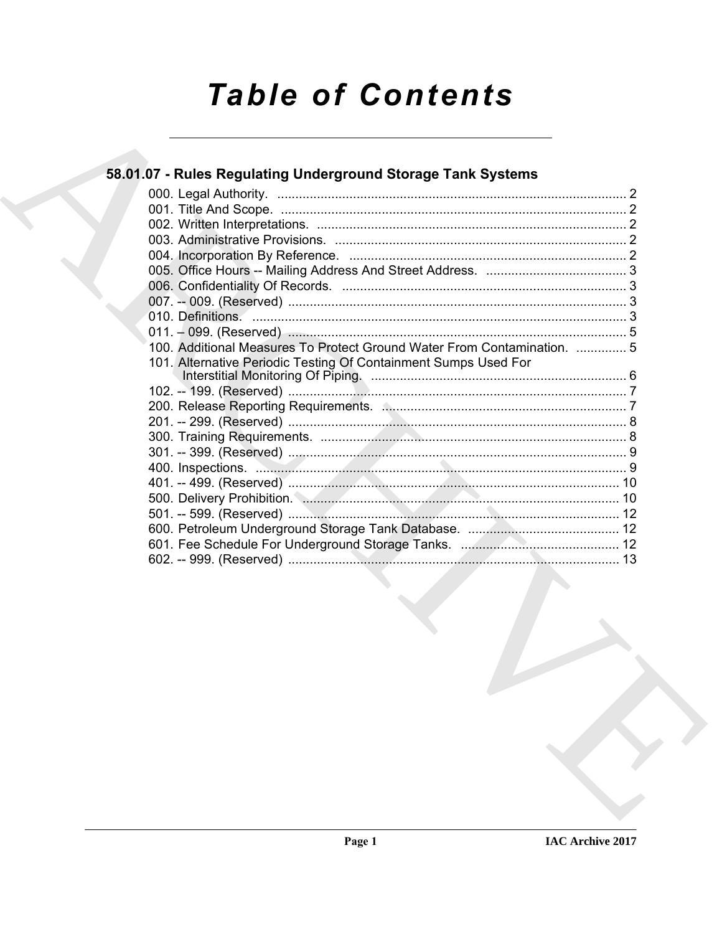# **Table of Contents**

| 58.01.07 - Rules Regulating Underground Storage Tank Systems            |  |
|-------------------------------------------------------------------------|--|
|                                                                         |  |
|                                                                         |  |
|                                                                         |  |
|                                                                         |  |
|                                                                         |  |
|                                                                         |  |
|                                                                         |  |
|                                                                         |  |
|                                                                         |  |
|                                                                         |  |
| 100. Additional Measures To Protect Ground Water From Contamination.  5 |  |
| 101. Alternative Periodic Testing Of Containment Sumps Used For         |  |
|                                                                         |  |
|                                                                         |  |
|                                                                         |  |
|                                                                         |  |
|                                                                         |  |
|                                                                         |  |
|                                                                         |  |
|                                                                         |  |
|                                                                         |  |
|                                                                         |  |
|                                                                         |  |
|                                                                         |  |
|                                                                         |  |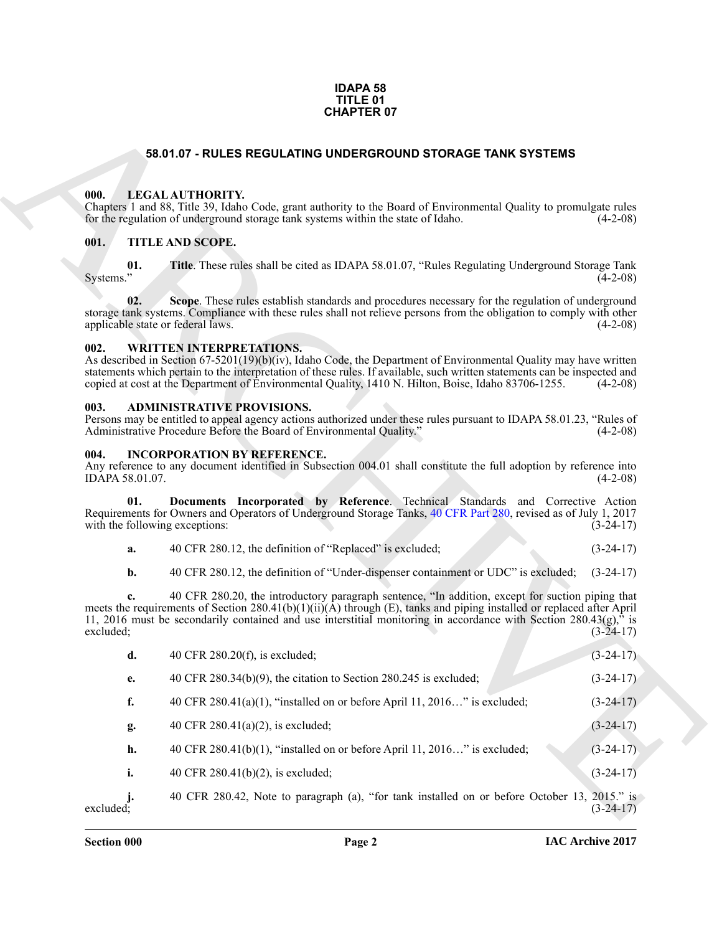#### **IDAPA 58 TITLE 01 CHAPTER 07**

#### **58.01.07 - RULES REGULATING UNDERGROUND STORAGE TANK SYSTEMS**

#### <span id="page-1-1"></span><span id="page-1-0"></span>**000. LEGAL AUTHORITY.**

#### <span id="page-1-2"></span>**001. TITLE AND SCOPE.**

#### <span id="page-1-3"></span>**002. WRITTEN INTERPRETATIONS.**

#### <span id="page-1-4"></span>**003. ADMINISTRATIVE PROVISIONS.**

#### <span id="page-1-5"></span>**004. INCORPORATION BY REFERENCE.**

|                                                                                                                 | Documents Incorporated by Reference. Technical Standards and Corrective Action |  |  |  |             |
|-----------------------------------------------------------------------------------------------------------------|--------------------------------------------------------------------------------|--|--|--|-------------|
| Requirements for Owners and Operators of Underground Storage Tanks, 40 CFR Part 280, revised as of July 1, 2017 |                                                                                |  |  |  |             |
| with the following exceptions:                                                                                  |                                                                                |  |  |  | $(3-24-17)$ |

|                                          | <b>CHAPTER 07</b>                                                                                                                                                                                                                                                                                                                                                                          |                            |
|------------------------------------------|--------------------------------------------------------------------------------------------------------------------------------------------------------------------------------------------------------------------------------------------------------------------------------------------------------------------------------------------------------------------------------------------|----------------------------|
|                                          | 58.01.07 - RULES REGULATING UNDERGROUND STORAGE TANK SYSTEMS                                                                                                                                                                                                                                                                                                                               |                            |
| 000.                                     | LEGAL AUTHORITY.<br>Chapters 1 and 88, Title 39, Idaho Code, grant authority to the Board of Environmental Quality to promulgate rules<br>for the regulation of underground storage tank systems within the state of Idaho.                                                                                                                                                                | $(4-2-08)$                 |
| 001.                                     | TITLE AND SCOPE.                                                                                                                                                                                                                                                                                                                                                                           |                            |
| 01.<br>Systems."                         | Title. These rules shall be cited as IDAPA 58.01.07, "Rules Regulating Underground Storage Tank                                                                                                                                                                                                                                                                                            | $(4-2-08)$                 |
| 02.<br>applicable state or federal laws. | Scope. These rules establish standards and procedures necessary for the regulation of underground<br>storage tank systems. Compliance with these rules shall not relieve persons from the obligation to comply with other                                                                                                                                                                  | $(4-2-08)$                 |
| 002.                                     | <b>WRITTEN INTERPRETATIONS.</b><br>As described in Section $67-5201(19)(b)(iv)$ , Idaho Code, the Department of Environmental Quality may have written<br>statements which pertain to the interpretation of these rules. If available, such written statements can be inspected and<br>copied at cost at the Department of Environmental Quality, 1410 N. Hilton, Boise, Idaho 83706-1255. | $(4-2-08)$                 |
| 003.                                     | <b>ADMINISTRATIVE PROVISIONS.</b><br>Persons may be entitled to appeal agency actions authorized under these rules pursuant to IDAPA 58.01.23, "Rules of<br>Administrative Procedure Before the Board of Environmental Quality."                                                                                                                                                           | $(4-2-08)$                 |
| 004.<br>IDAPA 58.01.07.                  | <b>INCORPORATION BY REFERENCE.</b><br>Any reference to any document identified in Subsection 004.01 shall constitute the full adoption by reference into                                                                                                                                                                                                                                   | $(4-2-08)$                 |
| 01.<br>with the following exceptions:    | Documents Incorporated by Reference. Technical Standards and Corrective Action<br>Requirements for Owners and Operators of Underground Storage Tanks, 40 CFR Part 280, revised as of July 1, 2017                                                                                                                                                                                          | $(3-24-17)$                |
| a.                                       | 40 CFR 280.12, the definition of "Replaced" is excluded;                                                                                                                                                                                                                                                                                                                                   | $(3-24-17)$                |
| b.                                       | 40 CFR 280.12, the definition of "Under-dispenser containment or UDC" is excluded;                                                                                                                                                                                                                                                                                                         | $(3-24-17)$                |
| excluded;                                | 40 CFR 280.20, the introductory paragraph sentence, "In addition, except for suction piping that<br>meets the requirements of Section 280.41(b)(1)(ii)( $\overline{A}$ ) through (E), tanks and piping installed or replaced after April<br>11, 2016 must be secondarily contained and use interstitial monitoring in accordance with Section 280.43(g)," is                               | $(3-24-17)$                |
| d.                                       | 40 CFR 280.20(f), is excluded;                                                                                                                                                                                                                                                                                                                                                             | $(3-24-17)$                |
| e.                                       | 40 CFR $280.34(b)(9)$ , the citation to Section 280.245 is excluded;                                                                                                                                                                                                                                                                                                                       | $(3-24-17)$                |
| f.                                       | 40 CFR $280.41(a)(1)$ , "installed on or before April 11, 2016" is excluded;                                                                                                                                                                                                                                                                                                               | $(3-24-17)$                |
| g.                                       | 40 CFR $280.41(a)(2)$ , is excluded;                                                                                                                                                                                                                                                                                                                                                       | $(3-24-17)$                |
| h.                                       | 40 CFR $280.41(b)(1)$ , "installed on or before April 11, $2016$ " is excluded;                                                                                                                                                                                                                                                                                                            | $(3-24-17)$                |
| i.                                       | 40 CFR $280.41(b)(2)$ , is excluded;                                                                                                                                                                                                                                                                                                                                                       | $(3-24-17)$                |
| excluded;                                | 40 CFR 280.42, Note to paragraph (a), "for tank installed on or before October 13,                                                                                                                                                                                                                                                                                                         | $2015."$ is<br>$(3-24-17)$ |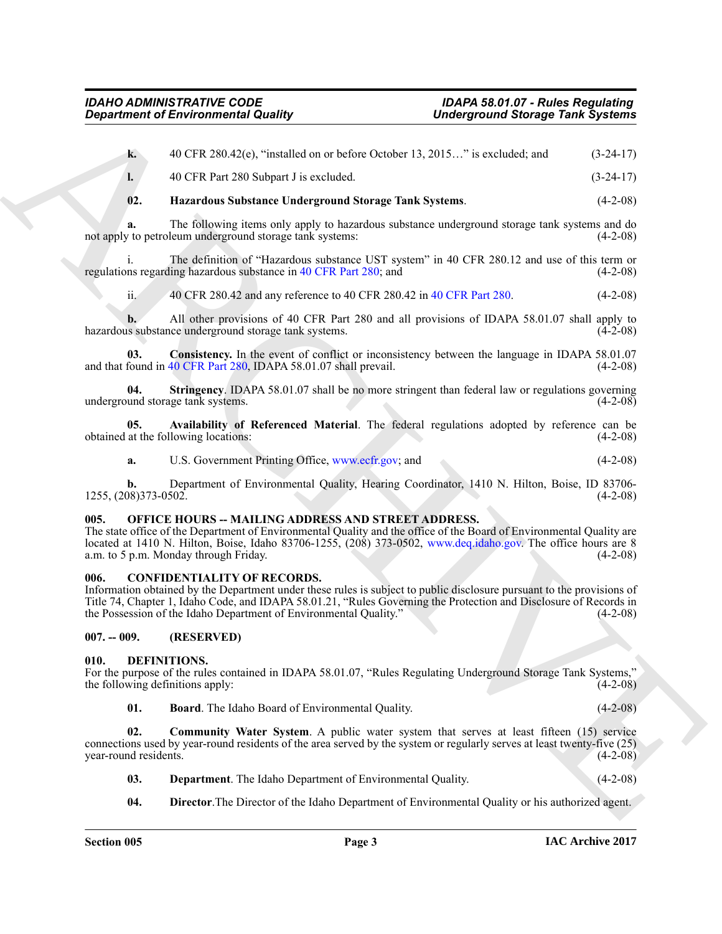*Great from the T[H](www.ecfr.gov)RASE CONSULT[IV](www.deq.idaho.gov)E CONSULTION CONTROL CONSULTIVE CONSULTIVE CONSULTIVE CONSULTIVE CONSULTIVE CONSULTIVE CONSULTIVE CONSULTIVE CONSULTIVE CONSULTIVE CONSULTIVE CONSULTIVE CONSULTIVE CONSULTIVE CONSULTIVE CO* **k.** 40 CFR 280.42(e), "installed on or before October 13, 2015…" is excluded; and (3-24-17) **l.** 40 CFR Part 280 Subpart J is excluded. (3-24-17) **02. Hazardous Substance Underground Storage Tank Systems**. (4-2-08)

**a.** The following items only apply to hazardous substance underground storage tank systems and do not apply to petroleum underground storage tank systems: (4-2-08) (4-2-08)

i. The definition of "Hazardous substance UST system" in 40 CFR 280.12 and use of this term or ns regarding hazardous substance in 40 CFR Part 280; and (4-2-08) regulations regarding hazardous substance in 40 CFR Part 280; and

ii. 40 CFR 280.42 and any reference to 40 CFR 280.42 in 40 CFR Part 280. (4-2-08)

**b.** All other provisions of 40 CFR Part 280 and all provisions of IDAPA 58.01.07 shall apply to is substance underground storage tank systems. (4-2-08) hazardous substance underground storage tank systems.

**03. Consistency.** In the event of conflict or inconsistency between the language in IDAPA 58.01.07 found in 40 CFR Part 280. IDAPA 58.01.07 shall prevail. (4-2-08) and that found in  $40$  CFR Part  $280$ , IDAPA  $58.01.07$  shall prevail.

**04.** Stringency. IDAPA 58.01.07 shall be no more stringent than federal law or regulations governing und storage tank systems. (4-2-08) underground storage tank systems.

**05.** Availability of Referenced Material. The federal regulations adopted by reference can be at the following locations: (4-2-08) obtained at the following locations:

<span id="page-2-4"></span>**a.** U.S. Government Printing Office, www.ecfr.gov; and (4-2-08)

**b.** Department of Environmental Quality, Hearing Coordinator, 1410 N. Hilton, Boise, ID 83706-<br>08)373-0502. (4-2-08) 1255, (208)373-0502.

#### <span id="page-2-0"></span>**005. OFFICE HOURS -- MAILING ADDRESS AND STREET ADDRESS.**

The state office of the Department of Environmental Quality and the office of the Board of Environmental Quality are located at 1410 N. Hilton, Boise, Idaho 83706-1255, (208) 373-0502, www.deq.idaho.gov. The office hours are 8 a.m. to 5 p.m. Monday through Friday. (4-2-08) a.m. to  $5$  p.m. Monday through Friday.

#### <span id="page-2-1"></span>**006. CONFIDENTIALITY OF RECORDS.**

Information obtained by the Department under these rules is subject to public disclosure pursuant to the provisions of Title 74, Chapter 1, Idaho Code, and IDAPA 58.01.21, "Rules Governing the Protection and Disclosure of Records in the Possession of the Idaho Department of Environmental Quality." (4-2-08) the Possession of the Idaho Department of Environmental Quality."

<span id="page-2-2"></span>**007. -- 009. (RESERVED)**

#### <span id="page-2-5"></span><span id="page-2-3"></span>**010. DEFINITIONS.**

For the purpose of the rules contained in IDAPA 58.01.07, "Rules Regulating Underground Storage Tank Systems,"<br>the following definitions apply: (4-2-08) the following definitions apply:

<span id="page-2-7"></span><span id="page-2-6"></span>**01. Board**. The Idaho Board of Environmental Quality. (4-2-08)

**02.** Community Water System. A public water system that serves at least fifteen (15) service connections used by year-round residents of the area served by the system or regularly serves at least twenty-five (25) year-round residents.

- <span id="page-2-8"></span>**03. Department**. The Idaho Department of Environmental Quality. (4-2-08)
- <span id="page-2-9"></span>**04. Director**.The Director of the Idaho Department of Environmental Quality or his authorized agent.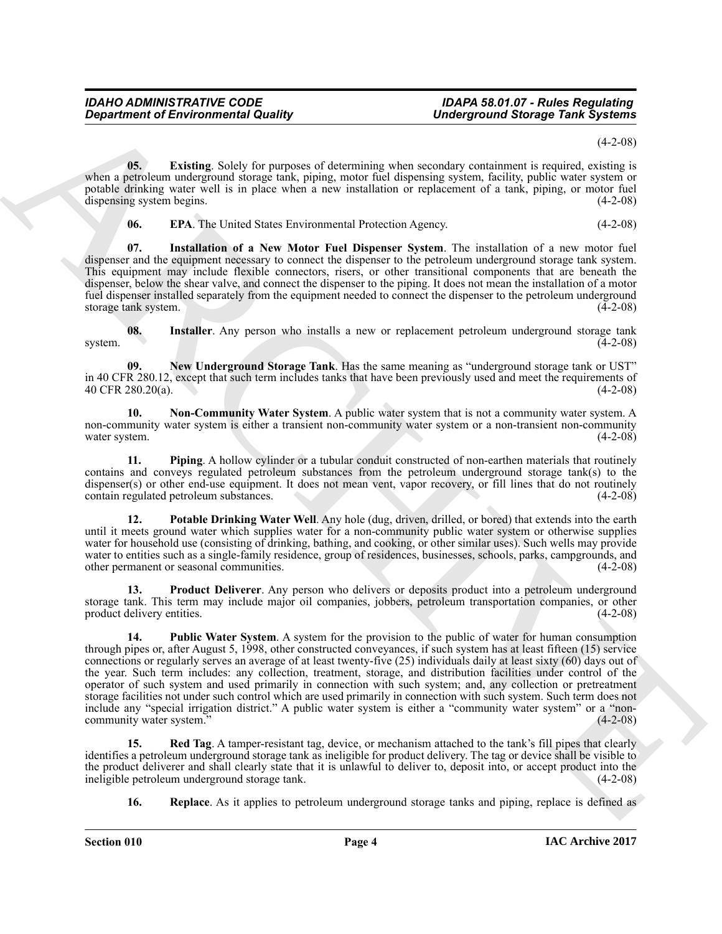$(4-2-08)$ 

**05.** Existing. Solely for purposes of determining when secondary containment is required, existing is when a petroleum underground storage tank, piping, motor fuel dispensing system, facility, public water system or potable drinking water well is in place when a new installation or replacement of a tank, piping, or motor fuel dispensing system begins. (4-2-08)

<span id="page-3-2"></span><span id="page-3-1"></span><span id="page-3-0"></span>**06. EPA**. The United States Environmental Protection Agency. (4-2-08)

**07. Installation of a New Motor Fuel Dispenser System**. The installation of a new motor fuel dispenser and the equipment necessary to connect the dispenser to the petroleum underground storage tank system. This equipment may include flexible connectors, risers, or other transitional components that are beneath the dispenser, below the shear valve, and connect the dispenser to the piping. It does not mean the installation of a motor fuel dispenser installed separately from the equipment needed to connect the dispenser to the petroleum underground storage tank system. (4-2-08)

<span id="page-3-3"></span>**08.** Installer. Any person who installs a new or replacement petroleum underground storage tank (4-2-08) system. (4-2-08)

<span id="page-3-4"></span>**09. New Underground Storage Tank**. Has the same meaning as "underground storage tank or UST" in 40 CFR 280.12, except that such term includes tanks that have been previously used and meet the requirements of 40 CFR 280.20(a). 40 CFR 280.20(a).

<span id="page-3-5"></span>**10.** Non-Community Water System. A public water system that is not a community water system. A non-community water system is either a transient non-community water system or a non-transient non-community water system.  $(4-2-08)$ water system. (4-2-08) (4-2-08)

<span id="page-3-6"></span>**11. Piping**. A hollow cylinder or a tubular conduit constructed of non-earthen materials that routinely contains and conveys regulated petroleum substances from the petroleum underground storage tank(s) to the dispenser(s) or other end-use equipment. It does not mean vent, vapor recovery, or fill lines that do not routinely contain regulated petroleum substances. (4-2-08) contain regulated petroleum substances.

<span id="page-3-7"></span>**12. Potable Drinking Water Well**. Any hole (dug, driven, drilled, or bored) that extends into the earth until it meets ground water which supplies water for a non-community public water system or otherwise supplies water for household use (consisting of drinking, bathing, and cooking, or other similar uses). Such wells may provide water to entities such as a single-family residence, group of residences, businesses, schools, parks, campgrounds, and other permanent or seasonal communities. (4-2-08)

<span id="page-3-9"></span><span id="page-3-8"></span>**13. Product Deliverer**. Any person who delivers or deposits product into a petroleum underground storage tank. This term may include major oil companies, jobbers, petroleum transportation companies, or other<br>(4-2-08) product delivery entities.

*Gregorians of Environmental Quality*<br> **Conservation of Structure Conservation** of the propose of determining when secondary conservation is required external as a state of the system of the system of the system of the **14. Public Water System**. A system for the provision to the public of water for human consumption through pipes or, after August 5, 1998, other constructed conveyances, if such system has at least fifteen (15) service connections or regularly serves an average of at least twenty-five (25) individuals daily at least sixty (60) days out of the year. Such term includes: any collection, treatment, storage, and distribution facilities under control of the operator of such system and used primarily in connection with such system; and, any collection or pretreatment storage facilities not under such control which are used primarily in connection with such system. Such term does not include any "special irrigation district." A public water system is either a "community water system" or a "noncommunity water system."

**15. Red Tag**. A tamper-resistant tag, device, or mechanism attached to the tank's fill pipes that clearly identifies a petroleum underground storage tank as ineligible for product delivery. The tag or device shall be visible to the product deliverer and shall clearly state that it is unlawful to deliver to, deposit into, or accept product into the ineligible petroleum underground storage tank. ineligible petroleum underground storage tank.

<span id="page-3-11"></span><span id="page-3-10"></span>**16. Replace**. As it applies to petroleum underground storage tanks and piping, replace is defined as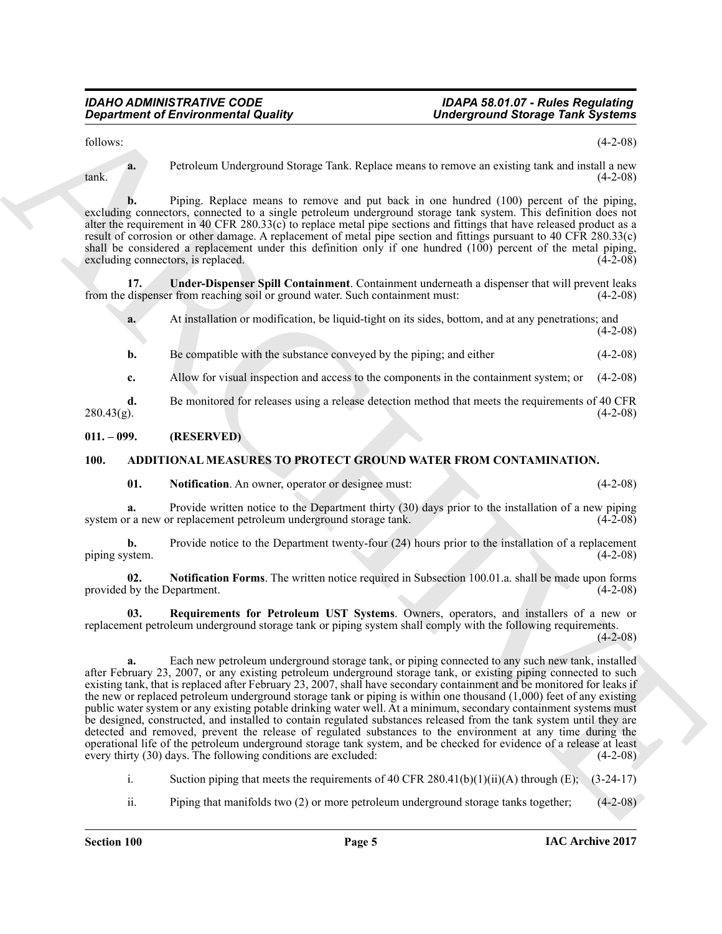follows: (4-2-08)

**a.** Petroleum Underground Storage Tank. Replace means to remove an existing tank and install a new  $\text{(4-2-08)}$ 

**b.** Piping. Replace means to remove and put back in one hundred (100) percent of the piping, excluding connectors, connected to a single petroleum underground storage tank system. This definition does not alter the requirement in 40 CFR 280.33(c) to replace metal pipe sections and fittings that have released product as a result of corrosion or other damage. A replacement of metal pipe section and fittings pursuant to 40 CFR 280.33(c) shall be considered a replacement under this definition only if one hundred  $(100)$  percent of the metal piping, excluding connectors, is replaced.  $(4-2-08)$ 

**17. Under-Dispenser Spill Containment**. Containment underneath a dispenser that will prevent leaks dispenser from reaching soil or ground water. Such containment must: (4-2-08) from the dispenser from reaching soil or ground water. Such containment must:

<span id="page-4-6"></span>**a.** At installation or modification, be liquid-tight on its sides, bottom, and at any penetrations; and  $(4-2-08)$ 

**b.** Be compatible with the substance conveyed by the piping; and either (4-2-08)

**c.** Allow for visual inspection and access to the components in the containment system; or  $(4-2-08)$ 

**d.** Be monitored for releases using a release detection method that meets the requirements of 40 CFR 280.43(g).  $280.43(g)$ . (4-2-08)

#### <span id="page-4-0"></span>**011. – 099. (RESERVED)**

#### <span id="page-4-1"></span>**100. ADDITIONAL MEASURES TO PROTECT GROUND WATER FROM CONTAMINATION.**

<span id="page-4-3"></span><span id="page-4-2"></span>**01.** Notification. An owner, operator or designee must: (4-2-08)

**a.** Provide written notice to the Department thirty (30) days prior to the installation of a new piping r a new or replacement petroleum underground storage tank. (4-2-08) system or a new or replacement petroleum underground storage tank.

**b.** Provide notice to the Department twenty-four (24) hours prior to the installation of a replacement (4-2-08) piping system.

<span id="page-4-4"></span>**02. Notification Forms**. The written notice required in Subsection 100.01.a. shall be made upon forms provided by the Department. (4-2-08)

<span id="page-4-5"></span>**03. Requirements for Petroleum UST Systems**. Owners, operators, and installers of a new or replacement petroleum underground storage tank or piping system shall comply with the following requirements.  $(4-2-08)$ 

*Given the internal Country Conservere Country and Country Conservere Country Conservere Country Conservere Country Country Country Country Country Country Country Country Country Country Country Country Country Country* **a.** Each new petroleum underground storage tank, or piping connected to any such new tank, installed after February 23, 2007, or any existing petroleum underground storage tank, or existing piping connected to such existing tank, that is replaced after February 23, 2007, shall have secondary containment and be monitored for leaks if the new or replaced petroleum underground storage tank or piping is within one thousand (1,000) feet of any existing public water system or any existing potable drinking water well. At a minimum, secondary containment systems must be designed, constructed, and installed to contain regulated substances released from the tank system until they are detected and removed, prevent the release of regulated substances to the environment at any time during the operational life of the petroleum underground storage tank system, and be checked for evidence of a release at least every thirty  $(30)$  days. The following conditions are excluded:

i. Suction piping that meets the requirements of 40 CFR 280.41(b)(1)(ii)(A) through (E);  $(3-24-17)$ 

ii. Piping that manifolds two (2) or more petroleum underground storage tanks together; (4-2-08)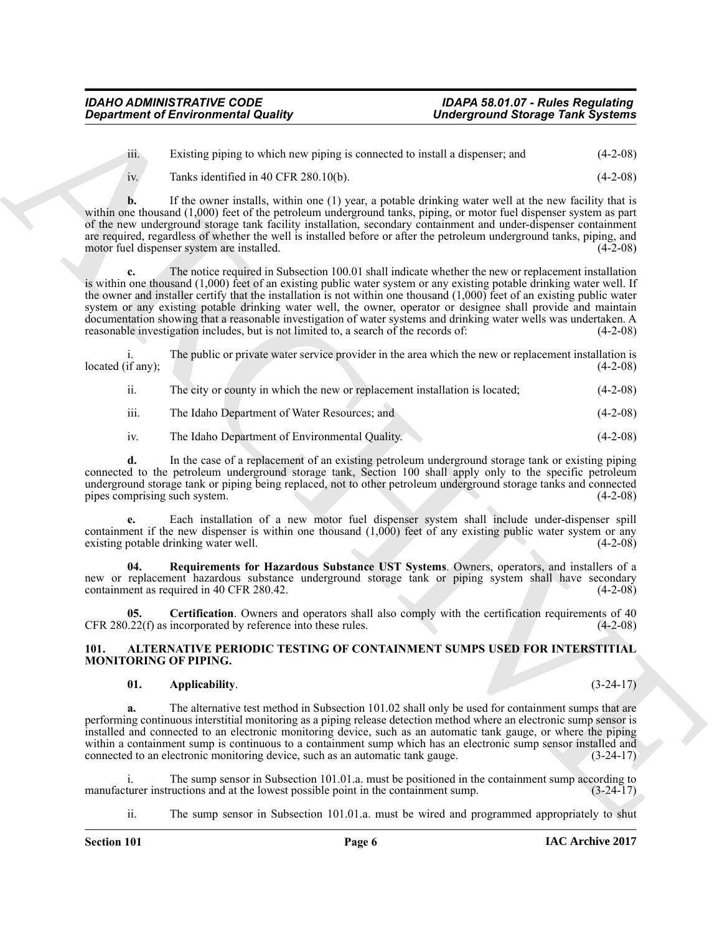iii. Existing piping to which new piping is connected to install a dispenser; and (4-2-08)

iv. Tanks identified in 40 CFR 280.10(b).  $(4-2-08)$ 

**b.** If the owner installs, within one (1) year, a potable drinking water well at the new facility that is within one thousand (1,000) feet of the petroleum underground tanks, piping, or motor fuel dispenser system as part of the new underground storage tank facility installation, secondary containment and under-dispenser containment are required, regardless of whether the well is installed before or after the petroleum underground tanks, piping, and motor fuel dispenser system are installed. (4-2-08) motor fuel dispenser system are installed.

*Department of Environmental Quality* Uniterspectively the supercond Stateger Test Systems<br>
in Example the sum and the sum and the sum and the sum and the sum and the sum and the sum and the sum and the sum and the sum The notice required in Subsection 100.01 shall indicate whether the new or replacement installation is within one thousand (1,000) feet of an existing public water system or any existing potable drinking water well. If the owner and installer certify that the installation is not within one thousand  $(1,000)$  feet of an existing public water system or any existing potable drinking water well, the owner, operator or designee shall provide and maintain documentation showing that a reasonable investigation of water systems and drinking water wells was undertaken. A reasonable investigation includes, but is not limited to, a search of the records of: (4-2-08) reasonable investigation includes, but is not limited to, a search of the records of:

The public or private water service provider in the area which the new or replacement installation is (4-2-08) located (if any);

ii. The city or county in which the new or replacement installation is located; (4-2-08)

iii. The Idaho Department of Water Resources; and (4-2-08)

iv. The Idaho Department of Environmental Quality. (4-2-08)

**d.** In the case of a replacement of an existing petroleum underground storage tank or existing piping connected to the petroleum underground storage tank, Section 100 shall apply only to the specific petroleum underground storage tank or piping being replaced, not to other petroleum underground storage tanks and connected pipes comprising such system. (4-2-08) pipes comprising such system.

**e.** Each installation of a new motor fuel dispenser system shall include under-dispenser spill containment if the new dispenser is within one thousand  $(1,000)$  feet of any existing public water system or any existing potable drinking water well. existing potable drinking water well.

<span id="page-5-2"></span>**04. Requirements for Hazardous Substance UST Systems**. Owners, operators, and installers of a new or replacement hazardous substance underground storage tank or piping system shall have secondary containment as required in 40 CFR 280.42. (4-2-08)

<span id="page-5-1"></span>**05. Certification**. Owners and operators shall also comply with the certification requirements of 40  $CFR 280.22(f)$  as incorporated by reference into these rules.  $(4-2-08)$ 

#### <span id="page-5-3"></span><span id="page-5-0"></span>**101. ALTERNATIVE PERIODIC TESTING OF CONTAINMENT SUMPS USED FOR INTERSTITIAL MONITORING OF PIPING.**

#### <span id="page-5-4"></span>**01. Applicability**. (3-24-17)

**a.** The alternative test method in Subsection 101.02 shall only be used for containment sumps that are performing continuous interstitial monitoring as a piping release detection method where an electronic sump sensor is installed and connected to an electronic monitoring device, such as an automatic tank gauge, or where the piping within a containment sump is continuous to a containment sump which has an electronic sump sensor installed and<br>connected to an electronic monitoring device, such as an automatic tank gauge. (3-24-17) connected to an electronic monitoring device, such as an automatic tank gauge.

i. The sump sensor in Subsection 101.01.a. must be positioned in the containment sump according to turer instructions and at the lowest possible point in the containment sump. (3-24-17) manufacturer instructions and at the lowest possible point in the containment sump.

ii. The sump sensor in Subsection 101.01.a. must be wired and programmed appropriately to shut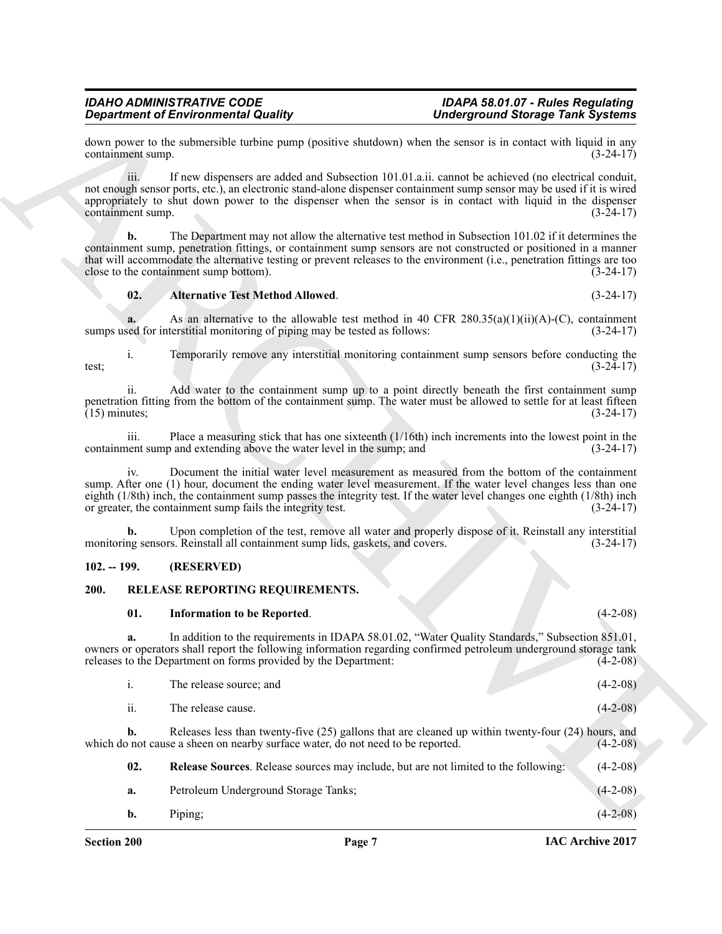#### <span id="page-6-2"></span>**02. Alternative Test Method Allowed**. (3-24-17)

#### <span id="page-6-0"></span>**102. -- 199. (RESERVED)**

#### <span id="page-6-1"></span>**200. RELEASE REPORTING REQUIREMENTS.**

#### <span id="page-6-4"></span><span id="page-6-3"></span>**01. Information to be Reported**. (4-2-08)

<span id="page-6-5"></span>

|     | The release source; and | $(4-2-08)$ |
|-----|-------------------------|------------|
| ii. | The release cause.      | $(4-2-08)$ |

|                 |                           | <b>Department of Environmental Quality</b>                                                                                                                                                                                                                                                                                                                                                              | <b>Underground Storage Tank Systems</b> |  |
|-----------------|---------------------------|---------------------------------------------------------------------------------------------------------------------------------------------------------------------------------------------------------------------------------------------------------------------------------------------------------------------------------------------------------------------------------------------------------|-----------------------------------------|--|
|                 | containment sump.         | down power to the submersible turbine pump (positive shutdown) when the sensor is in contact with liquid in any                                                                                                                                                                                                                                                                                         | $(3-24-17)$                             |  |
|                 | iii.<br>containment sump. | If new dispensers are added and Subsection 101.01.a.ii. cannot be achieved (no electrical conduit,<br>not enough sensor ports, etc.), an electronic stand-alone dispenser containment sump sensor may be used if it is wired<br>appropriately to shut down power to the dispenser when the sensor is in contact with liquid in the dispenser                                                            | $(3-24-17)$                             |  |
|                 | b.                        | The Department may not allow the alternative test method in Subsection 101.02 if it determines the<br>containment sump, penetration fittings, or containment sump sensors are not constructed or positioned in a manner<br>that will accommodate the alternative testing or prevent releases to the environment (i.e., penetration fittings are too<br>close to the containment sump bottom).           | $(3-24-17)$                             |  |
|                 | 02.                       | <b>Alternative Test Method Allowed.</b>                                                                                                                                                                                                                                                                                                                                                                 | $(3-24-17)$                             |  |
|                 |                           | As an alternative to the allowable test method in 40 CFR $280.35(a)(1)(ii)(A)-(C)$ , containment<br>sumps used for interstitial monitoring of piping may be tested as follows:                                                                                                                                                                                                                          | $(3-24-17)$                             |  |
| test;           | $\mathbf{i}$ .            | Temporarily remove any interstitial monitoring containment sump sensors before conducting the                                                                                                                                                                                                                                                                                                           | $(3-24-17)$                             |  |
| $(15)$ minutes; | <i>ii.</i>                | Add water to the containment sump up to a point directly beneath the first containment sump<br>penetration fitting from the bottom of the containment sump. The water must be allowed to settle for at least fifteen                                                                                                                                                                                    | $(3-24-17)$                             |  |
|                 | iii.                      | Place a measuring stick that has one sixteenth $(1/16th)$ inch increments into the lowest point in the<br>containment sump and extending above the water level in the sump; and                                                                                                                                                                                                                         | $(3-24-17)$                             |  |
|                 | iv.                       | Document the initial water level measurement as measured from the bottom of the containment<br>sump. After one (1) hour, document the ending water level measurement. If the water level changes less than one<br>eighth (1/8th) inch, the containment sump passes the integrity test. If the water level changes one eighth (1/8th) inch<br>or greater, the containment sump fails the integrity test. | $(3-24-17)$                             |  |
|                 | b.                        | Upon completion of the test, remove all water and properly dispose of it. Reinstall any interstitial<br>monitoring sensors. Reinstall all containment sump lids, gaskets, and covers.                                                                                                                                                                                                                   | $(3-24-17)$                             |  |
| $102. - 199.$   |                           | (RESERVED)                                                                                                                                                                                                                                                                                                                                                                                              |                                         |  |
| 200.            |                           | RELEASE REPORTING REQUIREMENTS.                                                                                                                                                                                                                                                                                                                                                                         |                                         |  |
|                 | 01.                       | <b>Information to be Reported.</b>                                                                                                                                                                                                                                                                                                                                                                      | $(4-2-08)$                              |  |
|                 | a.                        | In addition to the requirements in IDAPA 58.01.02, "Water Quality Standards," Subsection 851.01,<br>owners or operators shall report the following information regarding confirmed petroleum underground storage tank<br>releases to the Department on forms provided by the Department:                                                                                                                | $(4-2-08)$                              |  |
|                 | $\mathbf{i}$ .            | The release source; and                                                                                                                                                                                                                                                                                                                                                                                 | $(4-2-08)$                              |  |
|                 | ii.                       | The release cause.                                                                                                                                                                                                                                                                                                                                                                                      | $(4-2-08)$                              |  |
|                 | b.                        | Releases less than twenty-five $(25)$ gallons that are cleaned up within twenty-four $(24)$ hours, and<br>which do not cause a sheen on nearby surface water, do not need to be reported.                                                                                                                                                                                                               | $(4-2-08)$                              |  |
|                 | 02.                       | Release Sources. Release sources may include, but are not limited to the following:                                                                                                                                                                                                                                                                                                                     | $(4-2-08)$                              |  |
|                 | a.                        | Petroleum Underground Storage Tanks;                                                                                                                                                                                                                                                                                                                                                                    | $(4-2-08)$                              |  |
|                 | $\mathbf{b}$ .            | Piping;                                                                                                                                                                                                                                                                                                                                                                                                 | $(4-2-08)$                              |  |
|                 |                           |                                                                                                                                                                                                                                                                                                                                                                                                         |                                         |  |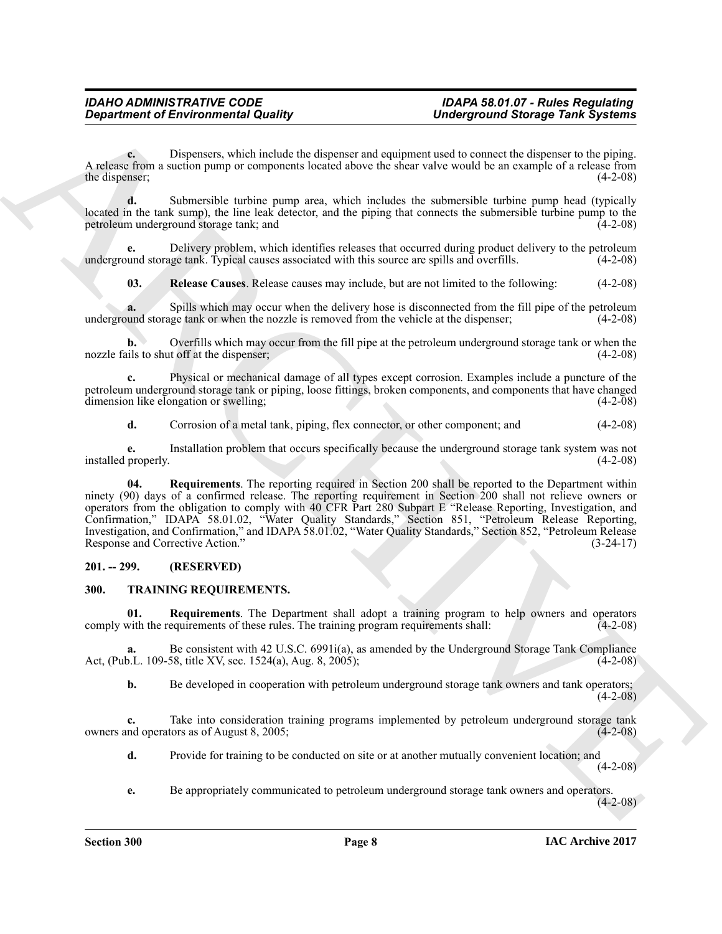**c.** Dispensers, which include the dispenser and equipment used to connect the dispenser to the piping. A release from a suction pump or components located above the shear valve would be an example of a release from the dispenser;

**d.** Submersible turbine pump area, which includes the submersible turbine pump head (typically located in the tank sump), the line leak detector, and the piping that connects the submersible turbine pump to the petroleum underground storage tank; and (4-2-08)

Delivery problem, which identifies releases that occurred during product delivery to the petroleum ge tank. Typical causes associated with this source are spills and overfills. (4-2-08) underground storage tank. Typical causes associated with this source are spills and overfills.

<span id="page-7-2"></span>**03. Release Causes**. Release causes may include, but are not limited to the following: (4-2-08)

Spills which may occur when the delivery hose is disconnected from the fill pipe of the petroleum ge tank or when the nozzle is removed from the vehicle at the dispenser; (4-2-08) underground storage tank or when the nozzle is removed from the vehicle at the dispenser; (4-2-08)

**b.** Overfills which may occur from the fill pipe at the petroleum underground storage tank or when the nozzle fails to shut off at the dispenser; (4-2-08)

**c.** Physical or mechanical damage of all types except corrosion. Examples include a puncture of the petroleum underground storage tank or piping, loose fittings, broken components, and components that have changed<br>dimension like elongation or swelling;<br>(4-2-08) dimension like elongation or swelling;

<span id="page-7-3"></span>**d.** Corrosion of a metal tank, piping, flex connector, or other component; and  $(4-2-08)$ 

**e.** Installation problem that occurs specifically because the underground storage tank system was not properly.  $(4-2-08)$ installed properly.

*Gregarinnes of Environmental Quality* Uniterground Storage Their Systems<br>
A subsection a Discussion which the discussion and variation set of the meaning of the mean of the mean of the mean of the mean of the mean of t **04. Requirements**. The reporting required in Section 200 shall be reported to the Department within ninety (90) days of a confirmed release. The reporting requirement in Section 200 shall not relieve owners or operators from the obligation to comply with 40 CFR Part 280 Subpart E "Release Reporting, Investigation, and Confirmation," IDAPA 58.01.02, "Water Quality Standards," Section 851, "Petroleum Release Reporting, Investigation, and Confirmation," and IDAPA 58.01.02, "Water Quality Standards," Section 852, "Petroleum Release Response and Corrective Action." (3-24-17)

#### <span id="page-7-0"></span>**201. -- 299. (RESERVED)**

#### <span id="page-7-4"></span><span id="page-7-1"></span>**300. TRAINING REQUIREMENTS.**

<span id="page-7-5"></span>**01. Requirements**. The Department shall adopt a training program to help owners and operators with the requirements of these rules. The training program requirements shall: (4-2-08) comply with the requirements of these rules. The training program requirements shall:

**a.** Be consistent with 42 U.S.C. 6991i(a), as amended by the Underground Storage Tank Compliance b.L. 109-58, title XV, sec. 1524(a), Aug. 8, 2005); Act, (Pub.L. 109-58, title XV, sec. 1524(a), Aug. 8, 2005);

**b.** Be developed in cooperation with petroleum underground storage tank owners and tank operators;  $(4-2-08)$ 

**c.** Take into consideration training programs implemented by petroleum underground storage tank nd operators as of August 8, 2005; owners and operators as of August 8, 2005;

**d.** Provide for training to be conducted on site or at another mutually convenient location; and

 $(4-2-08)$ 

**e.** Be appropriately communicated to petroleum underground storage tank owners and operators.

 $(4-2-08)$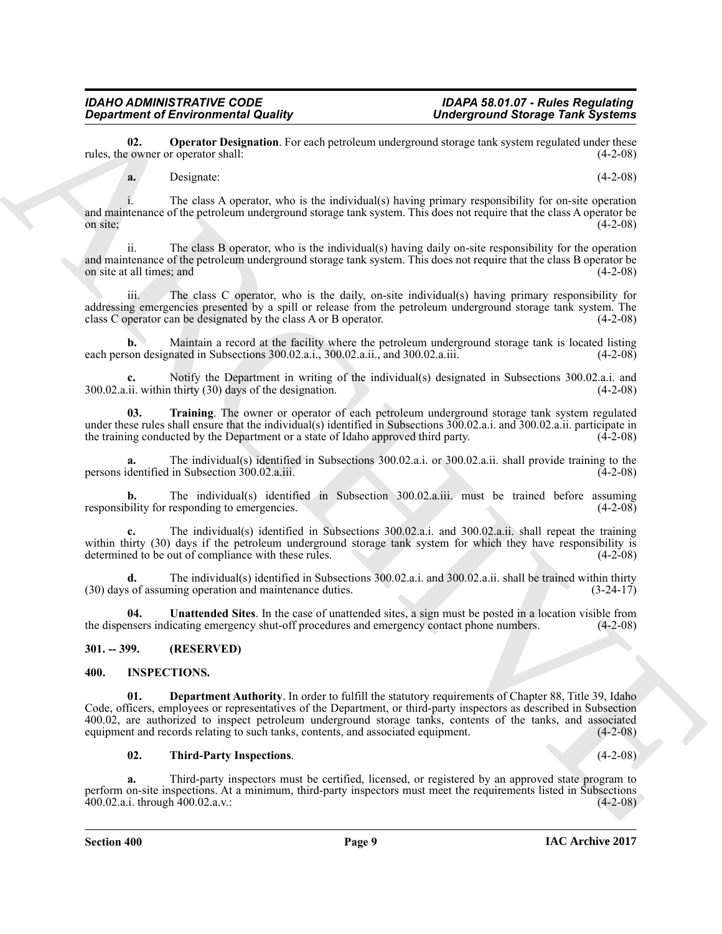**02. Operator Designation**. For each petroleum underground storage tank system regulated under these evantly commer or operator shall: rules, the owner or operator shall:

<span id="page-8-5"></span>**a.** Designate: (4-2-08)

The class A operator, who is the individual(s) having primary responsibility for on-site operation and maintenance of the petroleum underground storage tank system. This does not require that the class A operator be on site;  $(4-2-08)$ 

ii. The class B operator, who is the individual(s) having daily on-site responsibility for the operation and maintenance of the petroleum underground storage tank system. This does not require that the class B operator be on site at all times; and (4-2-08) on site at all times; and

iii. The class C operator, who is the daily, on-site individual(s) having primary responsibility for addressing emergencies presented by a spill or release from the petroleum underground storage tank system. The class C operator can be designated by the class A or B operator. (4-2-08)

**b.** Maintain a record at the facility where the petroleum underground storage tank is located listing each person designated in Subsections 300.02.a.i., 300.02.a.ii., and 300.02.a.iii. (4-2-08)

Notify the Department in writing of the individual(s) designated in Subsections 300.02.a.i. and thirty (30) days of the designation. (4-2-08)  $300.02$ .a.ii. within thirty  $(30)$  days of the designation.

<span id="page-8-6"></span>**03. Training**. The owner or operator of each petroleum underground storage tank system regulated under these rules shall ensure that the individual(s) identified in Subsections 300.02.a.i. and 300.02.a.ii. participate in<br>the training conducted by the Department or a state of Idaho approved third party. (4-2-08) the training conducted by the Department or a state of Idaho approved third party.

The individual(s) identified in Subsections 300.02.a.i. or 300.02.a.ii. shall provide training to the in Subsection 300.02.a.iii. (4-2-08) persons identified in Subsection  $300.02$ .a.iii.

**b.** The individual(s) identified in Subsection 300.02.a.iii. must be trained before assuming bility for responding to emergencies. (4-2-08) responsibility for responding to emergencies.

**c.** The individual(s) identified in Subsections 300.02.a.i. and 300.02.a.ii. shall repeat the training within thirty (30) days if the petroleum underground storage tank system for which they have responsibility is determined to be out of compliance with these rules. (4-2-08) determined to be out of compliance with these rules.

**d.** The individual(s) identified in Subsections 300.02.a.i. and 300.02.a.ii. shall be trained within thirty s of assuming operation and maintenance duties. (3-24-17)  $(30)$  days of assuming operation and maintenance duties.

<span id="page-8-7"></span>**04. Unattended Sites**. In the case of unattended sites, a sign must be posted in a location visible from the dispensers indicating emergency shut-off procedures and emergency contact phone numbers. (4-2-08)

### <span id="page-8-0"></span>**301. -- 399. (RESERVED)**

#### <span id="page-8-2"></span><span id="page-8-1"></span>**400. INSPECTIONS.**

*Gregoritoric of Environmental Robustian*, because the state of the state of the state of the state of the state of the state of the state of the state of the state of the state of the state of the state of the state of **01. Department Authority**. In order to fulfill the statutory requirements of Chapter 88, Title 39, Idaho Code, officers, employees or representatives of the Department, or third-party inspectors as described in Subsection 400.02, are authorized to inspect petroleum underground storage tanks, contents of the tanks, and associated equipment and records relating to such tanks, contents, and associated equipment. (4-2-08) equipment and records relating to such tanks, contents, and associated equipment.

#### <span id="page-8-4"></span><span id="page-8-3"></span>**02. Third-Party Inspections**. (4-2-08)

**a.** Third-party inspectors must be certified, licensed, or registered by an approved state program to perform on-site inspections. At a minimum, third-party inspectors must meet the requirements listed in Subsections 400.02.a.i. through 400.02.a.v.: (4-2-08) 400.02.a.i. through  $400.02$ .a.v.: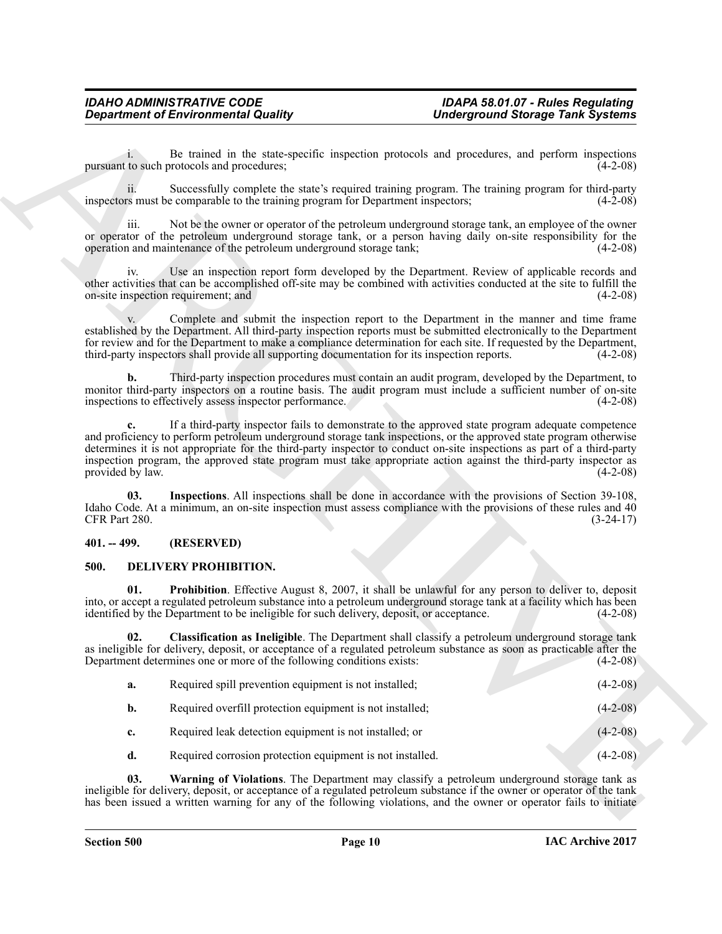#### <span id="page-9-6"></span><span id="page-9-0"></span>**401. -- 499. (RESERVED)**

#### <span id="page-9-5"></span><span id="page-9-4"></span><span id="page-9-3"></span><span id="page-9-2"></span><span id="page-9-1"></span>**500. DELIVERY PROHIBITION.**

|                      | <b>Department of Environmental Quality</b>                                                    | <b>Underground Storage Tank Systems</b>                                                                                                                                                                                                                                                                                                                                                                                                                               |             |
|----------------------|-----------------------------------------------------------------------------------------------|-----------------------------------------------------------------------------------------------------------------------------------------------------------------------------------------------------------------------------------------------------------------------------------------------------------------------------------------------------------------------------------------------------------------------------------------------------------------------|-------------|
| $1 -$                | pursuant to such protocols and procedures;                                                    | Be trained in the state-specific inspection protocols and procedures, and perform inspections                                                                                                                                                                                                                                                                                                                                                                         | $(4-2-08)$  |
| 11.                  | inspectors must be comparable to the training program for Department inspectors;              | Successfully complete the state's required training program. The training program for third-party                                                                                                                                                                                                                                                                                                                                                                     | $(4-2-08)$  |
| iii.                 | operation and maintenance of the petroleum underground storage tank;                          | Not be the owner or operator of the petroleum underground storage tank, an employee of the owner<br>or operator of the petroleum underground storage tank, or a person having daily on-site responsibility for the                                                                                                                                                                                                                                                    | $(4-2-08)$  |
| 1V.                  | on-site inspection requirement; and                                                           | Use an inspection report form developed by the Department. Review of applicable records and<br>other activities that can be accomplished off-site may be combined with activities conducted at the site to fulfill the                                                                                                                                                                                                                                                | $(4-2-08)$  |
|                      | third-party inspectors shall provide all supporting documentation for its inspection reports. | Complete and submit the inspection report to the Department in the manner and time frame<br>established by the Department. All third-party inspection reports must be submitted electronically to the Department<br>for review and for the Department to make a compliance determination for each site. If requested by the Department,                                                                                                                               | $(4-2-08)$  |
| b.                   | inspections to effectively assess inspector performance.                                      | Third-party inspection procedures must contain an audit program, developed by the Department, to<br>monitor third-party inspectors on a routine basis. The audit program must include a sufficient number of on-site                                                                                                                                                                                                                                                  | $(4-2-08)$  |
| provided by law.     |                                                                                               | If a third-party inspector fails to demonstrate to the approved state program adequate competence<br>and proficiency to perform petroleum underground storage tank inspections, or the approved state program otherwise<br>determines it is not appropriate for the third-party inspector to conduct on-site inspections as part of a third-party<br>inspection program, the approved state program must take appropriate action against the third-party inspector as | $(4-2-08)$  |
| 03.<br>CFR Part 280. |                                                                                               | Inspections. All inspections shall be done in accordance with the provisions of Section 39-108,<br>Idaho Code. At a minimum, an on-site inspection must assess compliance with the provisions of these rules and 40                                                                                                                                                                                                                                                   | $(3-24-17)$ |
| $401. - 499.$        | (RESERVED)                                                                                    |                                                                                                                                                                                                                                                                                                                                                                                                                                                                       |             |
| 500.                 | DELIVERY PROHIBITION.                                                                         |                                                                                                                                                                                                                                                                                                                                                                                                                                                                       |             |
| 01.                  | identified by the Department to be ineligible for such delivery, deposit, or acceptance.      | <b>Prohibition</b> . Effective August 8, 2007, it shall be unlawful for any person to deliver to, deposit<br>into, or accept a regulated petroleum substance into a petroleum underground storage tank at a facility which has been                                                                                                                                                                                                                                   | $(4-2-08)$  |
| 02.                  | Department determines one or more of the following conditions exists:                         | Classification as Ineligible. The Department shall classify a petroleum underground storage tank<br>as ineligible for delivery, deposit, or acceptance of a regulated petroleum substance as soon as practicable after the                                                                                                                                                                                                                                            | $(4-2-08)$  |
| a.                   | Required spill prevention equipment is not installed;                                         |                                                                                                                                                                                                                                                                                                                                                                                                                                                                       | $(4-2-08)$  |
| b.                   | Required overfill protection equipment is not installed;                                      |                                                                                                                                                                                                                                                                                                                                                                                                                                                                       | $(4-2-08)$  |
| c.                   | Required leak detection equipment is not installed; or                                        |                                                                                                                                                                                                                                                                                                                                                                                                                                                                       | $(4-2-08)$  |
| d.                   | Required corrosion protection equipment is not installed.                                     |                                                                                                                                                                                                                                                                                                                                                                                                                                                                       | $(4-2-08)$  |
| 03.                  |                                                                                               | Warning of Violations. The Department may classify a petroleum underground storage tank as<br>ineligible for delivery, deposit, or acceptance of a regulated petroleum substance if the owner or operator of the tank                                                                                                                                                                                                                                                 |             |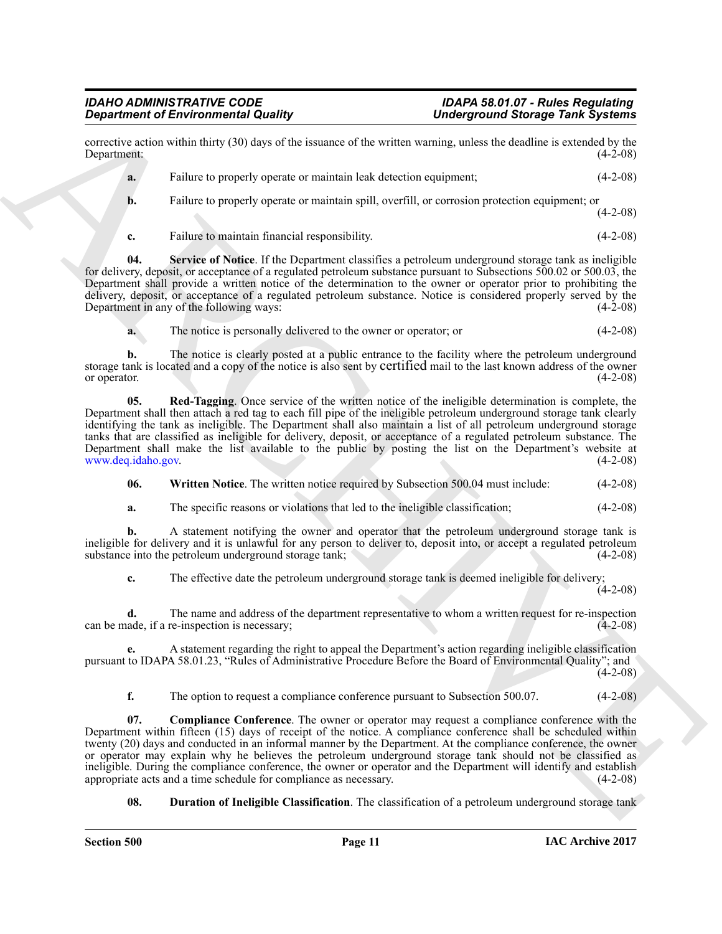corrective action within thirty (30) days of the issuance of the written warning, unless the deadline is extended by the Department: (4-2-08)

- **a.** Failure to properly operate or maintain leak detection equipment; (4-2-08)
- **b.** Failure to properly operate or maintain spill, overfill, or corrosion protection equipment; or (4-2-08)
- <span id="page-10-3"></span>**c.** Failure to maintain financial responsibility. (4-2-08)

**04. Service of Notice**. If the Department classifies a petroleum underground storage tank as ineligible for delivery, deposit, or acceptance of a regulated petroleum substance pursuant to Subsections 500.02 or 500.03, the Department shall provide a written notice of the determination to the owner or operator prior to prohibiting the delivery, deposit, or acceptance of a regulated petroleum substance. Notice is considered properly served by the Department in any of the following ways: (4-2-08)

<span id="page-10-2"></span>**a.** The notice is personally delivered to the owner or operator; or (4-2-08)

**b.** The notice is clearly posted at a public entrance to the facility where the petroleum underground storage tank is located and a copy of the notice is also sent by certified mail to the last known address of the owner<br>(4-2-08) or operator. (4-2-08)

**05. Red-Tagging**. Once service of the written notice of the ineligible determination is complete, the Department shall then attach a red tag to each fill pipe of the ineligible petroleum underground storage tank clearly identifying the tank as ineligible. The Department shall also maintain a list of all petroleum underground storage tanks that are classified as ineligible for delivery, deposit, or acceptance of a regulated petroleum substance. The Department shall make the list available to the public by posting the list on the Department's website at www.deq.idaho.gov. (4-2-08) www.deq.idaho.gov.

<span id="page-10-4"></span>**06.** Written Notice. The written notice required by Subsection 500.04 must include:  $(4-2-08)$ 

**a.** The specific reasons or violations that led to the ineligible classification; (4-2-08)

**b.** A statement notifying the owner and operator that the petroleum underground storage tank is ineligible for delivery and it is unlawful for any person to deliver to, deposit into, or accept a regulated petroleum substance into the petroleum underground storage tank; substance into the petroleum underground storage tank;

**c.** The effective date the petroleum underground storage tank is deemed ineligible for delivery;

 $(4-2-08)$ 

**d.** The name and address of the department representative to whom a written request for re-inspection and address of the department representative to whom a written request for re-inspection (4-2-08) can be made, if a re-inspection is necessary;

**e.** A statement regarding the right to appeal the Department's action regarding ineligible classification pursuant to IDAPA 58.01.23, "Rules of Administrative Procedure Before the Board of Environmental Quality"; and  $(4-2-08)$ 

<span id="page-10-0"></span>**f.** The option to request a compliance conference pursuant to Subsection 500.07. (4-2-08)

Gradrian of Environmental Quality<br>
spacing and Environmental Quality<br>
Spacing and Simulation of the cosmolo of the values of the values and the spacing and state and the cosmolo of the spacing and state and state and stat **07. Compliance Conference**. The owner or operator may request a compliance conference with the Department within fifteen (15) days of receipt of the notice. A compliance conference shall be scheduled within twenty (20) days and conducted in an informal manner by the Department. At the compliance conference, the owner or operator may explain why he believes the petroleum underground storage tank should not be classified as ineligible. During the compliance conference, the owner or operator and the Department will identify and establish appropriate acts and a time schedule for compliance as necessary. (4-2-08) appropriate acts and a time schedule for compliance as necessary.

<span id="page-10-1"></span>**08. Duration of Ineligible Classification**. The classification of a petroleum underground storage tank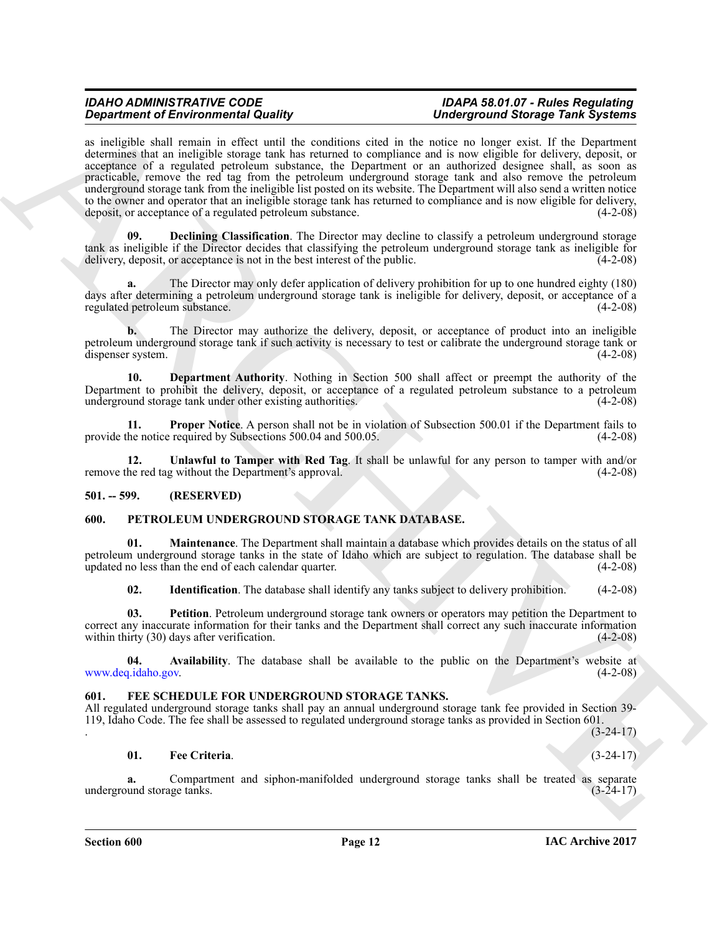**Singularized EF and the simulation of the state of the simulation of the simulation of the simulation of the simulation of the simulation of the simulation of the simulation of the simulation of the simulation of the sim** as ineligible shall remain in effect until the conditions cited in the notice no longer exist. If the Department determines that an ineligible storage tank has returned to compliance and is now eligible for delivery, deposit, or acceptance of a regulated petroleum substance, the Department or an authorized designee shall, as soon as practicable, remove the red tag from the petroleum underground storage tank and also remove the petroleum underground storage tank from the ineligible list posted on its website. The Department will also send a written notice to the owner and operator that an ineligible storage tank has returned to compliance and is now eligible for delivery, deposit, or acceptance of a regulated petroleum substance. (4-2-08) deposit, or acceptance of a regulated petroleum substance.

<span id="page-11-3"></span>**Declining Classification**. The Director may decline to classify a petroleum underground storage tank as ineligible if the Director decides that classifying the petroleum underground storage tank as ineligible for delivery, deposit, or acceptance is not in the best interest of the public. (4-2-08)

**a.** The Director may only defer application of delivery prohibition for up to one hundred eighty (180) days after determining a petroleum underground storage tank is ineligible for delivery, deposit, or acceptance of a regulated petroleum substance. (4-2-08)

**b.** The Director may authorize the delivery, deposit, or acceptance of product into an ineligible petroleum underground storage tank if such activity is necessary to test or calibrate the underground storage tank or dispenser system. (4-2-08)

<span id="page-11-4"></span>**10. Department Authority**. Nothing in Section 500 shall affect or preempt the authority of the Department to prohibit the delivery, deposit, or acceptance of a regulated petroleum substance to a petroleum underground storage tank under other existing authorities. (4-2-08) underground storage tank under other existing authorities.

<span id="page-11-5"></span>**11. Proper Notice**. A person shall not be in violation of Subsection 500.01 if the Department fails to the notice required by Subsections 500.04 and 500.05. provide the notice required by Subsections 500.04 and 500.05.

<span id="page-11-6"></span>**12.** Unlawful to Tamper with Red Tag. It shall be unlawful for any person to tamper with and/or he red tag without the Department's approval. (4-2-08) remove the red tag without the Department's approval.

#### <span id="page-11-0"></span>**501. -- 599. (RESERVED)**

#### <span id="page-11-9"></span><span id="page-11-1"></span>**600. PETROLEUM UNDERGROUND STORAGE TANK DATABASE.**

**01. Maintenance**. The Department shall maintain a database which provides details on the status of all petroleum underground storage tanks in the state of Idaho which are subject to regulation. The database shall be updated no less than the end of each calendar quarter. (4-2-08)

<span id="page-11-13"></span><span id="page-11-12"></span><span id="page-11-11"></span><span id="page-11-10"></span>**02. Identification**. The database shall identify any tanks subject to delivery prohibition. (4-2-08)

**03. Petition**. Petroleum underground storage tank owners or operators may petition the Department to correct any inaccurate information for their tanks and the Department shall correct any such inaccurate information within thirty (30) days after verification. (4-2-08)

**04.** Availability. The database shall be available to the public on the Department's website at  $q$ , idaho.gov. (4-2-08) www.deq.idaho.gov.

#### <span id="page-11-7"></span><span id="page-11-2"></span>FEE SCHEDULE FOR UNDERGROUND STORAGE TANKS.

All regulated underground storage tanks shall pay an annual underground storage tank fee provided in Section 39- 119, Idaho Code. The fee shall be assessed to regulated underground storage tanks as provided in Section 601. . (3-24-17)

#### <span id="page-11-8"></span>**01. Fee Criteria**. (3-24-17)

**a.** Compartment and siphon-manifolded underground storage tanks shall be treated as separate und storage tanks. (3-24-17) underground storage tanks.

**Section 600 Page 12**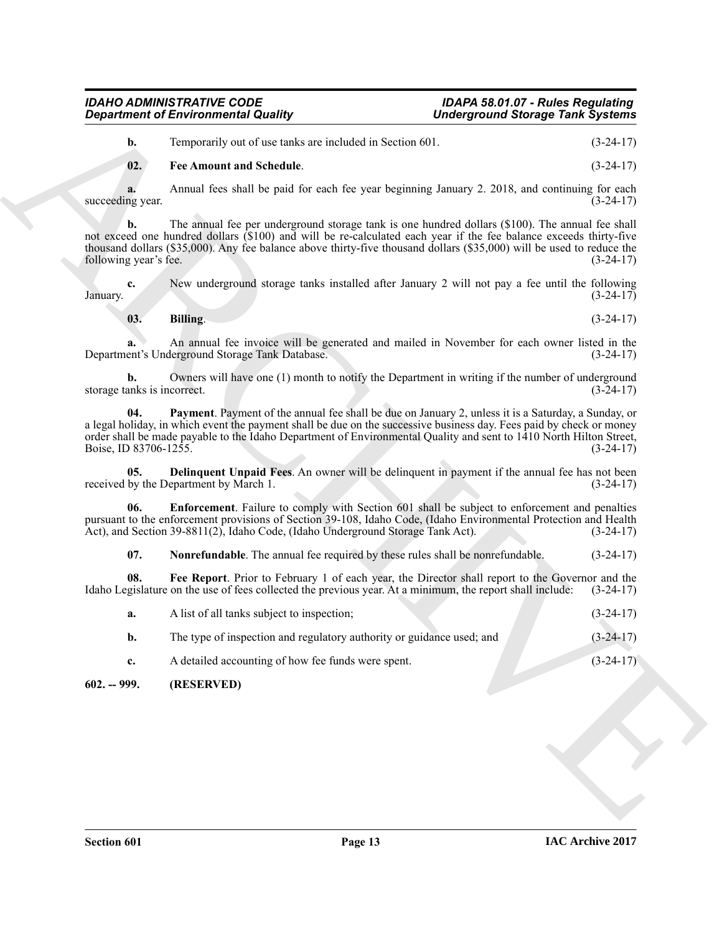#### <span id="page-12-4"></span>**02. Fee Amount and Schedule**. (3-24-17)

<span id="page-12-7"></span><span id="page-12-3"></span><span id="page-12-2"></span><span id="page-12-1"></span>
$$
03. Billing. (3-24-17)
$$

|                                   | <b>Department of Environmental Quality</b>                                                                                                                                                                                                                                                                                                                | <b>Underground Storage Tank Systems</b> |             |
|-----------------------------------|-----------------------------------------------------------------------------------------------------------------------------------------------------------------------------------------------------------------------------------------------------------------------------------------------------------------------------------------------------------|-----------------------------------------|-------------|
| b.                                | Temporarily out of use tanks are included in Section 601.                                                                                                                                                                                                                                                                                                 |                                         | $(3-24-17)$ |
| 02.                               | <b>Fee Amount and Schedule.</b>                                                                                                                                                                                                                                                                                                                           |                                         | $(3-24-17)$ |
| a.<br>succeeding year.            | Annual fees shall be paid for each fee year beginning January 2. 2018, and continuing for each                                                                                                                                                                                                                                                            |                                         | $(3-24-17)$ |
| b.<br>following year's fee.       | The annual fee per underground storage tank is one hundred dollars (\$100). The annual fee shall<br>not exceed one hundred dollars (\$100) and will be re-calculated each year if the fee balance exceeds thirty-five<br>thousand dollars (\$35,000). Any fee balance above thirty-five thousand dollars (\$35,000) will be used to reduce the            |                                         | $(3-24-17)$ |
| c.<br>January.                    | New underground storage tanks installed after January 2 will not pay a fee until the following                                                                                                                                                                                                                                                            |                                         | $(3-24-17)$ |
| 03.                               | Billing.                                                                                                                                                                                                                                                                                                                                                  |                                         | $(3-24-17)$ |
| a.                                | An annual fee invoice will be generated and mailed in November for each owner listed in the<br>Department's Underground Storage Tank Database.                                                                                                                                                                                                            |                                         | $(3-24-17)$ |
| b.<br>storage tanks is incorrect. | Owners will have one (1) month to notify the Department in writing if the number of underground                                                                                                                                                                                                                                                           |                                         | $(3-24-17)$ |
| 04.<br>Boise, ID 83706-1255.      | <b>Payment</b> . Payment of the annual fee shall be due on January 2, unless it is a Saturday, a Sunday, or<br>a legal holiday, in which event the payment shall be due on the successive business day. Fees paid by check or money<br>order shall be made payable to the Idaho Department of Environmental Quality and sent to 1410 North Hilton Street, |                                         | $(3-24-17)$ |
| 05.                               | Delinquent Unpaid Fees. An owner will be delinquent in payment if the annual fee has not been<br>received by the Department by March 1.                                                                                                                                                                                                                   |                                         | $(3-24-17)$ |
| 06.                               | <b>Enforcement</b> . Failure to comply with Section 601 shall be subject to enforcement and penalties<br>pursuant to the enforcement provisions of Section 39-108, Idaho Code, (Idaho Environmental Protection and Health<br>Act), and Section 39-8811(2), Idaho Code, (Idaho Underground Storage Tank Act).                                              |                                         | $(3-24-17)$ |
| 07.                               | Nonrefundable. The annual fee required by these rules shall be nonrefundable.                                                                                                                                                                                                                                                                             |                                         | $(3-24-17)$ |
| 08.                               | Fee Report. Prior to February 1 of each year, the Director shall report to the Governor and the<br>Idaho Legislature on the use of fees collected the previous year. At a minimum, the report shall include:                                                                                                                                              |                                         | $(3-24-17)$ |
| a.                                | A list of all tanks subject to inspection;                                                                                                                                                                                                                                                                                                                |                                         | $(3-24-17)$ |
| b.                                | The type of inspection and regulatory authority or guidance used; and                                                                                                                                                                                                                                                                                     |                                         | $(3-24-17)$ |
| c.                                | A detailed accounting of how fee funds were spent.                                                                                                                                                                                                                                                                                                        |                                         | $(3-24-17)$ |
|                                   | (RESERVED)                                                                                                                                                                                                                                                                                                                                                |                                         |             |

#### <span id="page-12-6"></span><span id="page-12-5"></span><span id="page-12-0"></span>**602. -- 999. (RESERVED)**